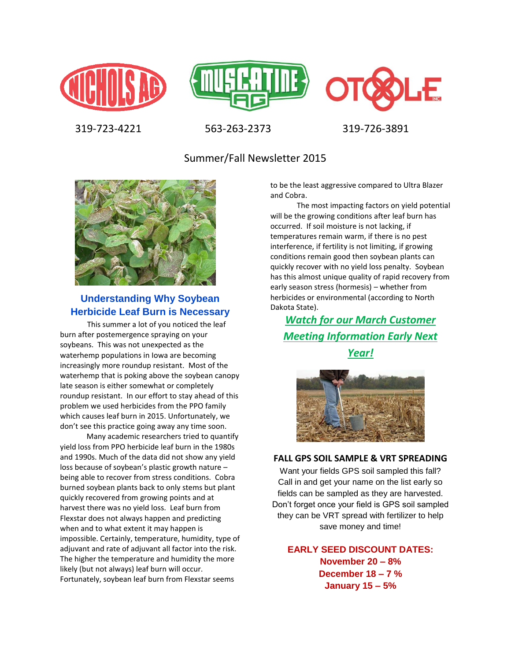





319-723-4221 563-263-2373 319-726-3891

Summer/Fall Newsletter 2015



## **Understanding Why Soybean Herbicide Leaf Burn is Necessary**

 This summer a lot of you noticed the leaf burn after postemergence spraying on your soybeans. This was not unexpected as the waterhemp populations in Iowa are becoming increasingly more roundup resistant. Most of the waterhemp that is poking above the soybean canopy late season is either somewhat or completely roundup resistant. In our effort to stay ahead of this problem we used herbicides from the PPO family which causes leaf burn in 2015. Unfortunately, we don't see this practice going away any time soon.

 Many academic researchers tried to quantify yield loss from PPO herbicide leaf burn in the 1980s and 1990s. Much of the data did not show any yield loss because of soybean's plastic growth nature – being able to recover from stress conditions. Cobra burned soybean plants back to only stems but plant quickly recovered from growing points and at harvest there was no yield loss. Leaf burn from Flexstar does not always happen and predicting when and to what extent it may happen is impossible. Certainly, temperature, humidity, type of adjuvant and rate of adjuvant all factor into the risk. The higher the temperature and humidity the more likely (but not always) leaf burn will occur. Fortunately, soybean leaf burn from Flexstar seems

to be the least aggressive compared to Ultra Blazer and Cobra.

 The most impacting factors on yield potential will be the growing conditions after leaf burn has occurred. If soil moisture is not lacking, if temperatures remain warm, if there is no pest interference, if fertility is not limiting, if growing conditions remain good then soybean plants can quickly recover with no yield loss penalty. Soybean has this almost unique quality of rapid recovery from early season stress (hormesis) – whether from herbicides or environmental (according to North Dakota State).

*Watch for our March Customer Meeting Information Early Next Year!*



#### **FALL GPS SOIL SAMPLE & VRT SPREADING**

Want your fields GPS soil sampled this fall? Call in and get your name on the list early so fields can be sampled as they are harvested. Don't forget once your field is GPS soil sampled they can be VRT spread with fertilizer to help save money and time!

**EARLY SEED DISCOUNT DATES: November 20 – 8% December 18 – 7 % January 15 – 5%**